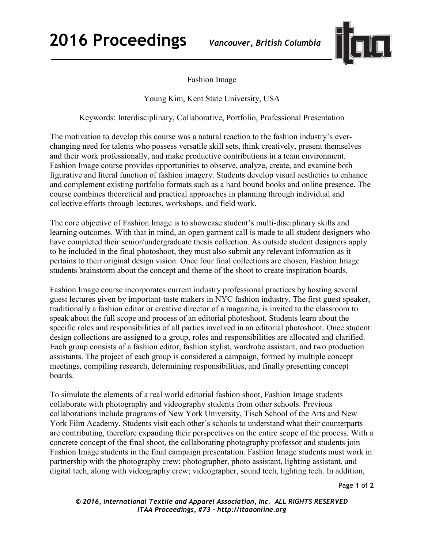**2016 Proceedings** *Vancouver, British Columbia*



Fashion Image

Young Kim, Kent State University, USA

Keywords: Interdisciplinary, Collaborative, Portfolio, Professional Presentation

The motivation to develop this course was a natural reaction to the fashion industry's everchanging need for talents who possess versatile skill sets, think creatively, present themselves and their work professionally, and make productive contributions in a team environment. Fashion Image course provides opportunities to observe, analyze, create, and examine both figurative and literal function of fashion imagery. Students develop visual aesthetics to enhance and complement existing portfolio formats such as a hard bound books and online presence. The course combines theoretical and practical approaches in planning through individual and collective efforts through lectures, workshops, and field work.

The core objective of Fashion Image is to showcase student's multi-disciplinary skills and learning outcomes. With that in mind, an open garment call is made to all student designers who have completed their senior/undergraduate thesis collection. As outside student designers apply to be included in the final photoshoot, they must also submit any relevant information as it pertains to their original design vision. Once four final collections are chosen, Fashion Image students brainstorm about the concept and theme of the shoot to create inspiration boards.

Fashion Image course incorporates current industry professional practices by hosting several guest lectures given by important-taste makers in NYC fashion industry. The first guest speaker, traditionally a fashion editor or creative director of a magazine, is invited to the classroom to speak about the full scope and process of an editorial photoshoot. Students learn about the specific roles and responsibilities of all parties involved in an editorial photoshoot. Once student design collections are assigned to a group, roles and responsibilities are allocated and clarified. Each group consists of a fashion editor, fashion stylist, wardrobe assistant, and two production assistants. The project of each group is considered a campaign, formed by multiple concept meetings, compiling research, determining responsibilities, and finally presenting concept boards.

To simulate the elements of a real world editorial fashion shoot, Fashion Image students collaborate with photography and videography students from other schools. Previous collaborations include programs of New York University, Tisch School of the Arts and New York Film Academy. Students visit each other's schools to understand what their counterparts are contributing, therefore expanding their perspectives on the entire scope of the process. With a concrete concept of the final shoot, the collaborating photography professor and students join Fashion Image students in the final campaign presentation. Fashion Image students must work in partnership with the photography crew; photographer, photo assistant, lighting assistant, and digital tech, along with videography crew; videographer, sound tech, lighting tech. In addition,

Page **1** of **2** 

*© 2016, International Textile and Apparel Association, Inc. ALL RIGHTS RESERVED ITAA Proceedings, #73 – http://itaaonline.org*